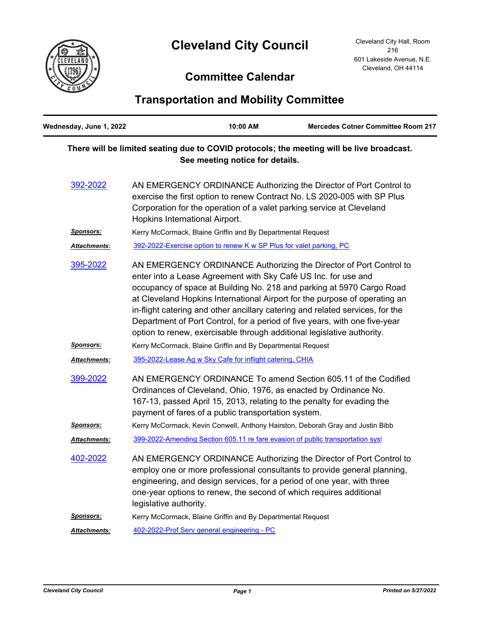## **Cleveland City Council**



## **Committee Calendar**

## **Transportation and Mobility Committee**

| Wednesday, June 1, 2022                                                                                                      |                                                             | 10:00 AM                                                            | <b>Mercedes Cotner Committee Room 217</b>                                                                                                                                                                                                                                                                                                                                                                                                                                                                                            |  |
|------------------------------------------------------------------------------------------------------------------------------|-------------------------------------------------------------|---------------------------------------------------------------------|--------------------------------------------------------------------------------------------------------------------------------------------------------------------------------------------------------------------------------------------------------------------------------------------------------------------------------------------------------------------------------------------------------------------------------------------------------------------------------------------------------------------------------------|--|
| There will be limited seating due to COVID protocols; the meeting will be live broadcast.<br>See meeting notice for details. |                                                             |                                                                     |                                                                                                                                                                                                                                                                                                                                                                                                                                                                                                                                      |  |
| 392-2022                                                                                                                     | Hopkins International Airport.                              |                                                                     | AN EMERGENCY ORDINANCE Authorizing the Director of Port Control to<br>exercise the first option to renew Contract No. LS 2020-005 with SP Plus<br>Corporation for the operation of a valet parking service at Cleveland                                                                                                                                                                                                                                                                                                              |  |
| <u>Sponsors:</u>                                                                                                             |                                                             | Kerry McCormack, Blaine Griffin and By Departmental Request         |                                                                                                                                                                                                                                                                                                                                                                                                                                                                                                                                      |  |
| Attachments:                                                                                                                 |                                                             | 392-2022-Exercise option to renew K w SP Plus for valet parking, PC |                                                                                                                                                                                                                                                                                                                                                                                                                                                                                                                                      |  |
| 395-2022                                                                                                                     |                                                             |                                                                     | AN EMERGENCY ORDINANCE Authorizing the Director of Port Control to<br>enter into a Lease Agreement with Sky Café US Inc. for use and<br>occupancy of space at Building No. 218 and parking at 5970 Cargo Road<br>at Cleveland Hopkins International Airport for the purpose of operating an<br>in-flight catering and other ancillary catering and related services, for the<br>Department of Port Control, for a period of five years, with one five-year<br>option to renew, exercisable through additional legislative authority. |  |
| Sponsors:                                                                                                                    | Kerry McCormack, Blaine Griffin and By Departmental Request |                                                                     |                                                                                                                                                                                                                                                                                                                                                                                                                                                                                                                                      |  |
| <u> Attachments:</u>                                                                                                         |                                                             | 395-2022-Lease Ag w Sky Cafe for inflight catering, CHIA            |                                                                                                                                                                                                                                                                                                                                                                                                                                                                                                                                      |  |
| <u>399-2022</u>                                                                                                              |                                                             | payment of fares of a public transportation system.                 | AN EMERGENCY ORDINANCE To amend Section 605.11 of the Codified<br>Ordinances of Cleveland, Ohio, 1976, as enacted by Ordinance No.<br>167-13, passed April 15, 2013, relating to the penalty for evading the                                                                                                                                                                                                                                                                                                                         |  |
| <u>Sponsors:</u>                                                                                                             |                                                             |                                                                     | Kerry McCormack, Kevin Conwell, Anthony Hairston, Deborah Gray and Justin Bibb                                                                                                                                                                                                                                                                                                                                                                                                                                                       |  |
| Attachments:                                                                                                                 |                                                             |                                                                     | 399-2022-Amending Section 605.11 re fare evasion of public transportation syst                                                                                                                                                                                                                                                                                                                                                                                                                                                       |  |
| 402-2022                                                                                                                     | legislative authority.                                      |                                                                     | AN EMERGENCY ORDINANCE Authorizing the Director of Port Control to<br>employ one or more professional consultants to provide general planning,<br>engineering, and design services, for a period of one year, with three<br>one-year options to renew, the second of which requires additional                                                                                                                                                                                                                                       |  |
| <u>Sponsors:</u>                                                                                                             |                                                             | Kerry McCormack, Blaine Griffin and By Departmental Request         |                                                                                                                                                                                                                                                                                                                                                                                                                                                                                                                                      |  |
| Attachments:                                                                                                                 | 402-2022-Prof Serv general engineering - PC                 |                                                                     |                                                                                                                                                                                                                                                                                                                                                                                                                                                                                                                                      |  |